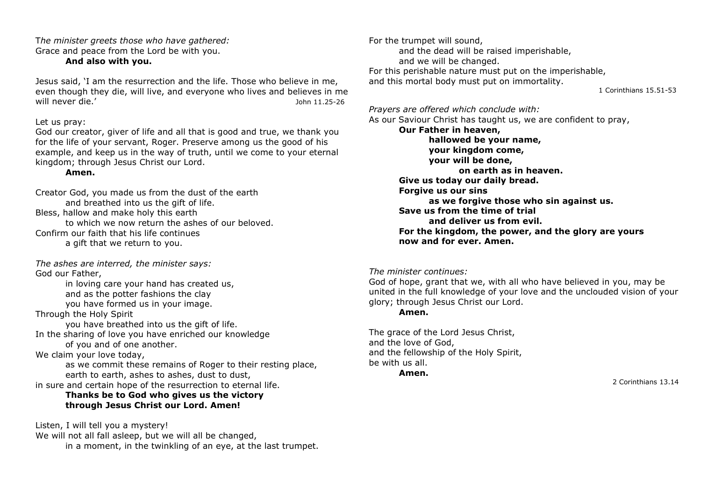T*he minister greets those who have gathered:*  Grace and peace from the Lord be with you.

# **And also with you.**

Jesus said, 'I am the resurrection and the life. Those who believe in me, even though they die, will live, and everyone who lives and believes in me will never die.' John 11.25-26

## Let us pray:

God our creator, giver of life and all that is good and true, we thank you for the life of your servant, Roger. Preserve among us the good of his example, and keep us in the way of truth, until we come to your eternal kingdom; through Jesus Christ our Lord.

# **Amen.**

Creator God, you made us from the dust of the earth and breathed into us the gift of life. Bless, hallow and make holy this earth to which we now return the ashes of our beloved. Confirm our faith that his life continues a gift that we return to you.

*The ashes are interred, the minister says:* God our Father,

in loving care your hand has created us, and as the potter fashions the clay you have formed us in your image. Through the Holy Spirit

you have breathed into us the gift of life. In the sharing of love you have enriched our knowledge

of you and of one another.

We claim your love today,

as we commit these remains of Roger to their resting place, earth to earth, ashes to ashes, dust to dust, in sure and certain hope of the resurrection to eternal life.

# **Thanks be to God who gives us the victory through Jesus Christ our Lord. Amen!**

Listen, I will tell you a mystery! We will not all fall asleep, but we will all be changed, in a moment, in the twinkling of an eye, at the last trumpet. For the trumpet will sound, and the dead will be raised imperishable, and we will be changed. For this perishable nature must put on the imperishable, and this mortal body must put on immortality.

1 Corinthians 15.51-53

*Prayers are offered which conclude with:* As our Saviour Christ has taught us, we are confident to pray, **Our Father in heaven, hallowed be your name, your kingdom come, your will be done, on earth as in heaven. Give us today our daily bread.** 

**Forgive us our sins** 

**as we forgive those who sin against us. Save us from the time of trial and deliver us from evil. For the kingdom, the power, and the glory are yours now and for ever. Amen.**

### *The minister continues:*

God of hope, grant that we, with all who have believed in you, may be united in the full knowledge of your love and the unclouded vision of your glory; through Jesus Christ our Lord.

### **Amen.**

The grace of the Lord Jesus Christ, and the love of God, and the fellowship of the Holy Spirit, be with us all.

**Amen.**

2 Corinthians 13.14